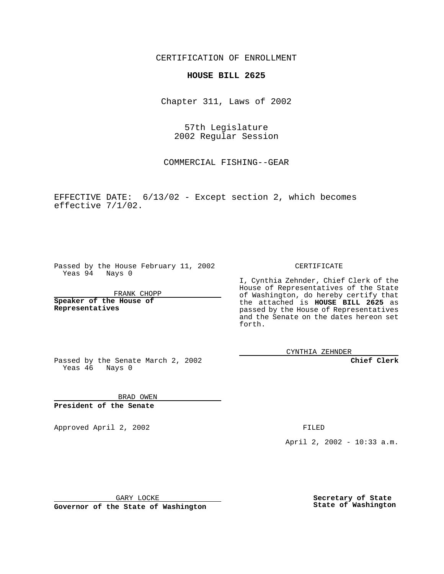CERTIFICATION OF ENROLLMENT

## **HOUSE BILL 2625**

Chapter 311, Laws of 2002

57th Legislature 2002 Regular Session

COMMERCIAL FISHING--GEAR

EFFECTIVE DATE: 6/13/02 - Except section 2, which becomes effective 7/1/02.

Passed by the House February 11, 2002 Yeas 94 Nays 0

FRANK CHOPP

**Speaker of the House of Representatives**

CERTIFICATE

I, Cynthia Zehnder, Chief Clerk of the House of Representatives of the State of Washington, do hereby certify that the attached is **HOUSE BILL 2625** as passed by the House of Representatives and the Senate on the dates hereon set forth.

CYNTHIA ZEHNDER

**Chief Clerk**

Passed by the Senate March 2, 2002 Yeas 46 Nays 0

BRAD OWEN **President of the Senate**

Approved April 2, 2002 **FILED** 

April 2, 2002 - 10:33 a.m.

GARY LOCKE

**Governor of the State of Washington**

**Secretary of State State of Washington**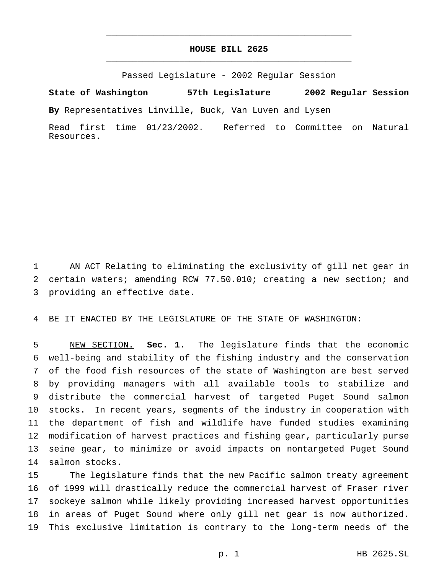## **HOUSE BILL 2625** \_\_\_\_\_\_\_\_\_\_\_\_\_\_\_\_\_\_\_\_\_\_\_\_\_\_\_\_\_\_\_\_\_\_\_\_\_\_\_\_\_\_\_\_\_\_\_

\_\_\_\_\_\_\_\_\_\_\_\_\_\_\_\_\_\_\_\_\_\_\_\_\_\_\_\_\_\_\_\_\_\_\_\_\_\_\_\_\_\_\_\_\_\_\_

Passed Legislature - 2002 Regular Session

**State of Washington 57th Legislature 2002 Regular Session**

**By** Representatives Linville, Buck, Van Luven and Lysen

Read first time 01/23/2002. Referred to Committee on Natural Resources.

 AN ACT Relating to eliminating the exclusivity of gill net gear in certain waters; amending RCW 77.50.010; creating a new section; and providing an effective date.

BE IT ENACTED BY THE LEGISLATURE OF THE STATE OF WASHINGTON:

 NEW SECTION. **Sec. 1.** The legislature finds that the economic well-being and stability of the fishing industry and the conservation of the food fish resources of the state of Washington are best served by providing managers with all available tools to stabilize and distribute the commercial harvest of targeted Puget Sound salmon stocks. In recent years, segments of the industry in cooperation with the department of fish and wildlife have funded studies examining modification of harvest practices and fishing gear, particularly purse seine gear, to minimize or avoid impacts on nontargeted Puget Sound salmon stocks.

 The legislature finds that the new Pacific salmon treaty agreement of 1999 will drastically reduce the commercial harvest of Fraser river sockeye salmon while likely providing increased harvest opportunities in areas of Puget Sound where only gill net gear is now authorized. This exclusive limitation is contrary to the long-term needs of the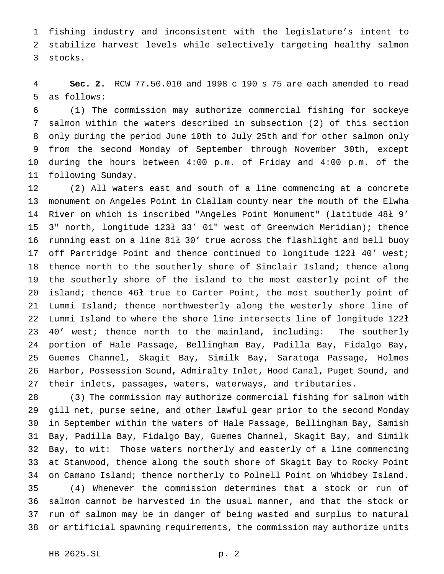fishing industry and inconsistent with the legislature's intent to stabilize harvest levels while selectively targeting healthy salmon stocks.

 **Sec. 2.** RCW 77.50.010 and 1998 c 190 s 75 are each amended to read as follows:

 (1) The commission may authorize commercial fishing for sockeye salmon within the waters described in subsection (2) of this section only during the period June 10th to July 25th and for other salmon only from the second Monday of September through November 30th, except during the hours between 4:00 p.m. of Friday and 4:00 p.m. of the following Sunday.

 (2) All waters east and south of a line commencing at a concrete monument on Angeles Point in Clallam county near the mouth of the Elwha River on which is inscribed "Angeles Point Monument" (latitude 48ł 9' 3" north, longitude 123ł 33' 01" west of Greenwich Meridian); thence running east on a line 81ł 30' true across the flashlight and bell buoy off Partridge Point and thence continued to longitude 122ł 40' west; thence north to the southerly shore of Sinclair Island; thence along the southerly shore of the island to the most easterly point of the island; thence 46ł true to Carter Point, the most southerly point of Lummi Island; thence northwesterly along the westerly shore line of Lummi Island to where the shore line intersects line of longitude 122ł 40' west; thence north to the mainland, including: The southerly portion of Hale Passage, Bellingham Bay, Padilla Bay, Fidalgo Bay, Guemes Channel, Skagit Bay, Similk Bay, Saratoga Passage, Holmes Harbor, Possession Sound, Admiralty Inlet, Hood Canal, Puget Sound, and their inlets, passages, waters, waterways, and tributaries.

 (3) The commission may authorize commercial fishing for salmon with 29 gill net, purse seine, and other lawful gear prior to the second Monday in September within the waters of Hale Passage, Bellingham Bay, Samish Bay, Padilla Bay, Fidalgo Bay, Guemes Channel, Skagit Bay, and Similk Bay, to wit: Those waters northerly and easterly of a line commencing at Stanwood, thence along the south shore of Skagit Bay to Rocky Point on Camano Island; thence northerly to Polnell Point on Whidbey Island. (4) Whenever the commission determines that a stock or run of salmon cannot be harvested in the usual manner, and that the stock or run of salmon may be in danger of being wasted and surplus to natural or artificial spawning requirements, the commission may authorize units